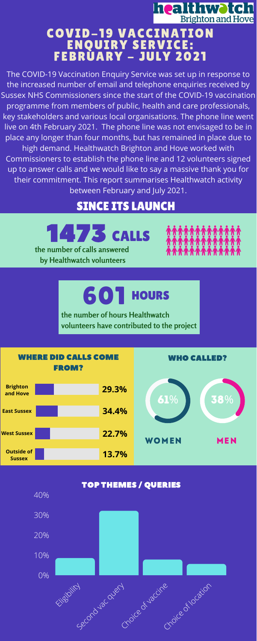**the number of calls answered by Healthwatch volunteers**

1473 CALLS



## **healthwotch**<br>**Brighton and Hove** COVID-19 VACCINATION ENQUIRY SERVICE: FEBRUARY - JULY 2021

**the number of hours Healthwatch volunteers have contributed to the project**

601 HOURS

## SINCE ITS LAUNCH





The COVID-19 Vaccination Enquiry Service was set up in response to the increased number of email and telephone enquiries received by Sussex NHS Commissioners since the start of the COVID-19 vaccination programme from members of public, health and care professionals, key stakeholders and various local organisations. The phone line went live on 4th February 2021. The phone line was not envisaged to be in place any longer than four months, but has remained in place due to high demand. Healthwatch Brighton and Hove worked with Commissioners to establish the phone line and 12 volunteers signed up to answer calls and we would like to say a massive thank you for their commitment. This report summarises Healthwatch activity between February and July 2021.

WHO CALLED?



WHERE DID CALLS COME FROM?